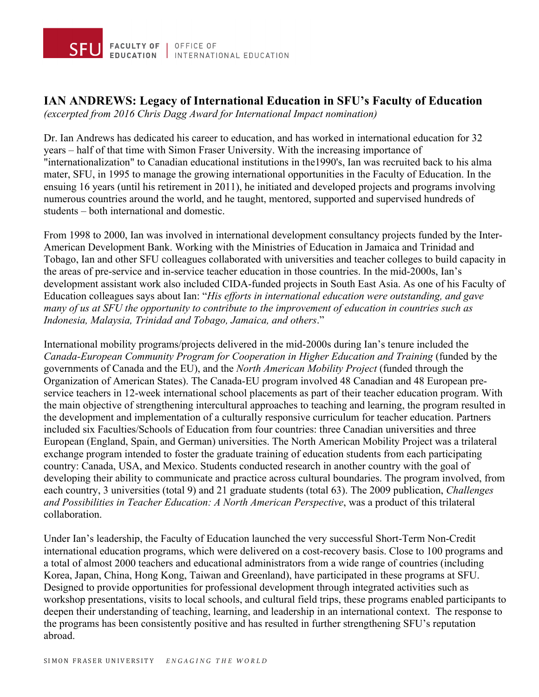

## **IAN ANDREWS: Legacy of International Education in SFU's Faculty of Education**

*(excerpted from 2016 Chris Dagg Award for International Impact nomination)*

Dr. Ian Andrews has dedicated his career to education, and has worked in international education for 32 years – half of that time with Simon Fraser University. With the increasing importance of "internationalization" to Canadian educational institutions in the1990's, Ian was recruited back to his alma mater, SFU, in 1995 to manage the growing international opportunities in the Faculty of Education. In the ensuing 16 years (until his retirement in 2011), he initiated and developed projects and programs involving numerous countries around the world, and he taught, mentored, supported and supervised hundreds of students – both international and domestic.

From 1998 to 2000, Ian was involved in international development consultancy projects funded by the Inter-American Development Bank. Working with the Ministries of Education in Jamaica and Trinidad and Tobago, Ian and other SFU colleagues collaborated with universities and teacher colleges to build capacity in the areas of pre-service and in-service teacher education in those countries. In the mid-2000s, Ian's development assistant work also included CIDA-funded projects in South East Asia. As one of his Faculty of Education colleagues says about Ian: "*His efforts in international education were outstanding, and gave many of us at SFU the opportunity to contribute to the improvement of education in countries such as Indonesia, Malaysia, Trinidad and Tobago, Jamaica, and others*."

International mobility programs/projects delivered in the mid-2000s during Ian's tenure included the *Canada-European Community Program for Cooperation in Higher Education and Training* (funded by the governments of Canada and the EU), and the *North American Mobility Project* (funded through the Organization of American States). The Canada-EU program involved 48 Canadian and 48 European preservice teachers in 12-week international school placements as part of their teacher education program. With the main objective of strengthening intercultural approaches to teaching and learning, the program resulted in the development and implementation of a culturally responsive curriculum for teacher education. Partners included six Faculties/Schools of Education from four countries: three Canadian universities and three European (England, Spain, and German) universities. The North American Mobility Project was a trilateral exchange program intended to foster the graduate training of education students from each participating country: Canada, USA, and Mexico. Students conducted research in another country with the goal of developing their ability to communicate and practice across cultural boundaries. The program involved, from each country, 3 universities (total 9) and 21 graduate students (total 63). The 2009 publication, *Challenges and Possibilities in Teacher Education: A North American Perspective*, was a product of this trilateral collaboration.

Under Ian's leadership, the Faculty of Education launched the very successful Short-Term Non-Credit international education programs, which were delivered on a cost-recovery basis. Close to 100 programs and a total of almost 2000 teachers and educational administrators from a wide range of countries (including Korea, Japan, China, Hong Kong, Taiwan and Greenland), have participated in these programs at SFU. Designed to provide opportunities for professional development through integrated activities such as workshop presentations, visits to local schools, and cultural field trips, these programs enabled participants to deepen their understanding of teaching, learning, and leadership in an international context. The response to the programs has been consistently positive and has resulted in further strengthening SFU's reputation abroad.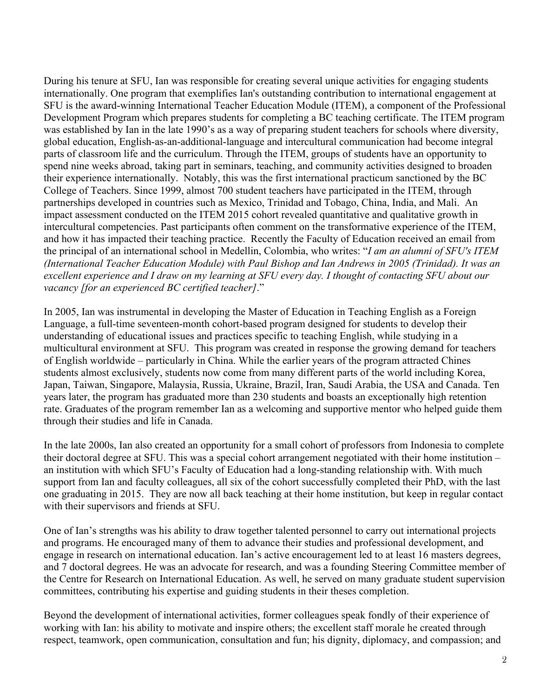During his tenure at SFU, Ian was responsible for creating several unique activities for engaging students internationally. One program that exemplifies Ian's outstanding contribution to international engagement at SFU is the award-winning International Teacher Education Module (ITEM), a component of the Professional Development Program which prepares students for completing a BC teaching certificate. The ITEM program was established by Ian in the late 1990's as a way of preparing student teachers for schools where diversity, global education, English-as-an-additional-language and intercultural communication had become integral parts of classroom life and the curriculum. Through the ITEM, groups of students have an opportunity to spend nine weeks abroad, taking part in seminars, teaching, and community activities designed to broaden their experience internationally. Notably, this was the first international practicum sanctioned by the BC College of Teachers. Since 1999, almost 700 student teachers have participated in the ITEM, through partnerships developed in countries such as Mexico, Trinidad and Tobago, China, India, and Mali. An impact assessment conducted on the ITEM 2015 cohort revealed quantitative and qualitative growth in intercultural competencies. Past participants often comment on the transformative experience of the ITEM, and how it has impacted their teaching practice. Recently the Faculty of Education received an email from the principal of an international school in Medellin, Colombia, who writes: "*I am an alumni of SFU's ITEM (International Teacher Education Module) with Paul Bishop and Ian Andrews in 2005 (Trinidad). It was an excellent experience and I draw on my learning at SFU every day. I thought of contacting SFU about our vacancy [for an experienced BC certified teacher]*."

In 2005, Ian was instrumental in developing the Master of Education in Teaching English as a Foreign Language, a full-time seventeen-month cohort-based program designed for students to develop their understanding of educational issues and practices specific to teaching English, while studying in a multicultural environment at SFU. This program was created in response the growing demand for teachers of English worldwide – particularly in China. While the earlier years of the program attracted Chines students almost exclusively, students now come from many different parts of the world including Korea, Japan, Taiwan, Singapore, Malaysia, Russia, Ukraine, Brazil, Iran, Saudi Arabia, the USA and Canada. Ten years later, the program has graduated more than 230 students and boasts an exceptionally high retention rate. Graduates of the program remember Ian as a welcoming and supportive mentor who helped guide them through their studies and life in Canada.

In the late 2000s, Ian also created an opportunity for a small cohort of professors from Indonesia to complete their doctoral degree at SFU. This was a special cohort arrangement negotiated with their home institution – an institution with which SFU's Faculty of Education had a long-standing relationship with. With much support from Ian and faculty colleagues, all six of the cohort successfully completed their PhD, with the last one graduating in 2015. They are now all back teaching at their home institution, but keep in regular contact with their supervisors and friends at SFU.

One of Ian's strengths was his ability to draw together talented personnel to carry out international projects and programs. He encouraged many of them to advance their studies and professional development, and engage in research on international education. Ian's active encouragement led to at least 16 masters degrees, and 7 doctoral degrees. He was an advocate for research, and was a founding Steering Committee member of the Centre for Research on International Education. As well, he served on many graduate student supervision committees, contributing his expertise and guiding students in their theses completion.

Beyond the development of international activities, former colleagues speak fondly of their experience of working with Ian: his ability to motivate and inspire others; the excellent staff morale he created through respect, teamwork, open communication, consultation and fun; his dignity, diplomacy, and compassion; and